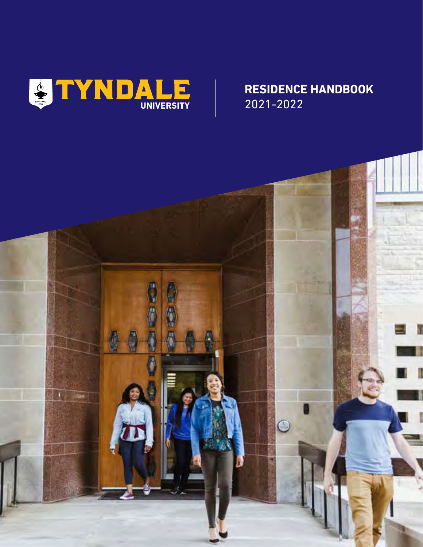

## **RESIDENCE HANDBOOK** 2021-2022

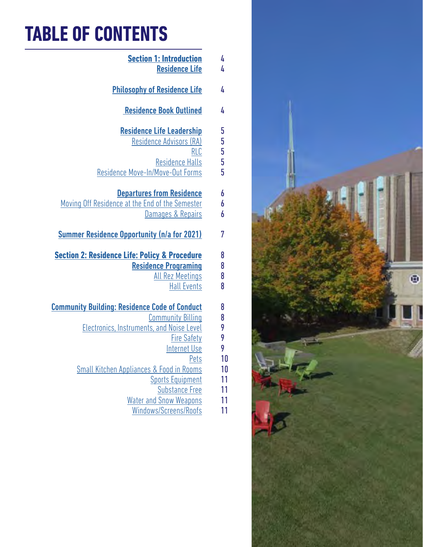# **TABLE OF CONTENTS**

| 4                          | <b>Section 1: Introduction</b>                                                                                                          |
|----------------------------|-----------------------------------------------------------------------------------------------------------------------------------------|
| 4                          | <b>Residence Life</b>                                                                                                                   |
| 4                          | <b>Philosophy of Residence Life</b>                                                                                                     |
| 4                          | <b>Residence Book Outlined</b>                                                                                                          |
| 5<br>5<br>5<br>5<br>5<br>5 | <b>Residence Life Leadership</b><br>Residence Advisors (RA)<br><b>RLC</b><br><b>Residence Halls</b><br>Residence Move-In/Move-Out Forms |
| 6                          | <b>Departures from Residence</b>                                                                                                        |
| 6                          | Moving Off Residence at the End of the Semester                                                                                         |
| 6                          | Damages & Repairs                                                                                                                       |
| 7                          | <b>Summer Residence Opportunity (n/a for 2021)</b>                                                                                      |
| 8                          | <b>Section 2: Residence Life: Policy &amp; Procedure</b>                                                                                |
| 8                          | <b>Residence Programing</b>                                                                                                             |
| 8                          | <b>All Rez Meetings</b>                                                                                                                 |
| 8                          | <b>Hall Events</b>                                                                                                                      |
| 8                          | <u> Community Building: Residence Code of Conduct</u>                                                                                   |
| 8                          | <b>Community Billing</b>                                                                                                                |
| 9                          | Electronics, Instruments, and Noise Level                                                                                               |
| 9                          | <b>Fire Safety</b>                                                                                                                      |
| 9                          | <b>Internet Use</b>                                                                                                                     |
| 10                         | <u>Pets</u>                                                                                                                             |
| 10                         | <b>Small Kitchen Appliances &amp; Food in Rooms</b>                                                                                     |
| 11                         | <b>Sports Equipment</b>                                                                                                                 |
| 11                         | <b>Substance Free</b>                                                                                                                   |
| 11                         | <b>Water and Snow Weapons</b>                                                                                                           |
| 11                         | Windows/Screens/Roofs                                                                                                                   |

 $\oplus$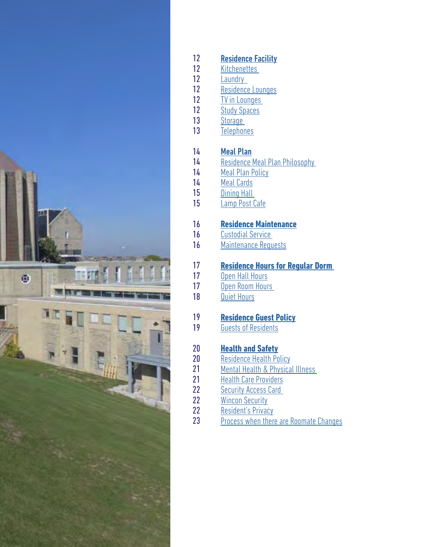

#### [Residence Facility](#page-11-0) 12

- **Kitchenettes** 12
- [Laundry](#page-11-0)  12
- [Residence Lounges](#page-11-0) 12
- [TV in Lounges](#page-11-0)  12
- [Study Spaces](#page-11-0) 12
- **Storage** 13
- **[Telephones](#page-12-0)** 13

#### [Meal Plan](#page-13-0) 14

14

16 16

19 19

23

- [Residence Meal Plan Philosophy](#page-13-0)
- [Meal Plan Policy](#page-13-0) 14
- [Meal Cards](#page-13-0) 14
- Dining Hall 15
- [Lamp Post Cafe](#page-14-0) 15

## **[Residence Maintenance](#page-15-0)**

- [Custodial Service](#page-15-0)
- [Maintenance Requests](#page-15-0) 16

## **[Residence Hours for Regular Dorm](#page-16-0)**

- [Open Hall Hours](#page-16-0)
- [Open Room Hours](#page-16-0)
- [Quiet Hours](#page-17-0)

## **[Residence Guest Policy](#page-18-0)**

[Guests of Residents](#page-18-0)

## **[Health and Safety](#page-19-0)**

- [Residence Health Policy](#page-19-0)
- [Mental Health & Physical Illness](#page-20-0)
- [Health Care Providers](#page-20-0)
- **Security Access Card** 22
- [Wincon Security](#page-21-0) 22 22
	- [Resident's Privacy](#page-21-0)
	- [Process when there are Roomate Changes](#page-22-0)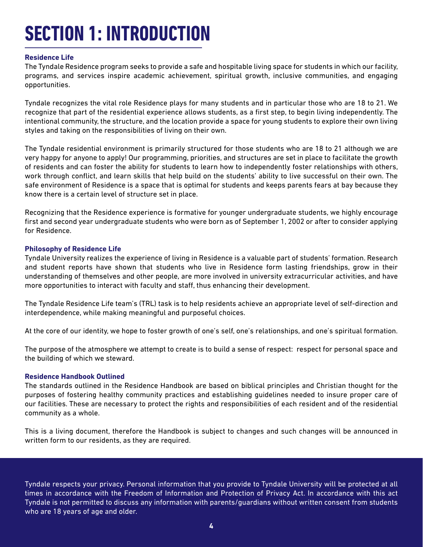# <span id="page-3-0"></span>**SECTION 1: INTRODUCTION**

#### **Residence Life**

The Tyndale Residence program seeks to provide a safe and hospitable living space for students in which our facility, programs, and services inspire academic achievement, spiritual growth, inclusive communities, and engaging opportunities.

Tyndale recognizes the vital role Residence plays for many students and in particular those who are 18 to 21. We recognize that part of the residential experience allows students, as a first step, to begin living independently. The intentional community, the structure, and the location provide a space for young students to explore their own living styles and taking on the responsibilities of living on their own.

The Tyndale residential environment is primarily structured for those students who are 18 to 21 although we are very happy for anyone to apply! Our programming, priorities, and structures are set in place to facilitate the growth of residents and can foster the ability for students to learn how to independently foster relationships with others, work through conflict, and learn skills that help build on the students' ability to live successful on their own. The safe environment of Residence is a space that is optimal for students and keeps parents fears at bay because they know there is a certain level of structure set in place.

Recognizing that the Residence experience is formative for younger undergraduate students, we highly encourage first and second year undergraduate students who were born as of September 1, 2002 or after to consider applying for Residence.

#### **Philosophy of Residence Life**

Tyndale University realizes the experience of living in Residence is a valuable part of students' formation. Research and student reports have shown that students who live in Residence form lasting friendships, grow in their understanding of themselves and other people, are more involved in university extracurricular activities, and have more opportunities to interact with faculty and staff, thus enhancing their development.

The Tyndale Residence Life team's (TRL) task is to help residents achieve an appropriate level of self-direction and interdependence, while making meaningful and purposeful choices.

At the core of our identity, we hope to foster growth of one's self, one's relationships, and one's spiritual formation.

The purpose of the atmosphere we attempt to create is to build a sense of respect: respect for personal space and the building of which we steward.

#### **Residence Handbook Outlined**

The standards outlined in the Residence Handbook are based on biblical principles and Christian thought for the purposes of fostering healthy community practices and establishing guidelines needed to insure proper care of our facilities. These are necessary to protect the rights and responsibilities of each resident and of the residential community as a whole.

This is a living document, therefore the Handbook is subject to changes and such changes will be announced in written form to our residents, as they are required.

Tyndale respects your privacy. Personal information that you provide to Tyndale University will be protected at all times in accordance with the Freedom of Information and Protection of Privacy Act. In accordance with this act Tyndale is not permitted to discuss any information with parents/guardians without written consent from students who are 18 years of age and older.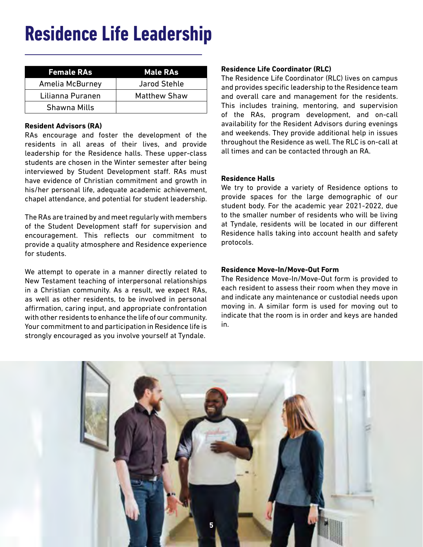## <span id="page-4-0"></span>**Residence Life Leadership**

| <b>Female RAs</b> | <b>Male RAs</b>     |
|-------------------|---------------------|
| Amelia McBurney   | <b>Jarod Stehle</b> |
| Lilianna Puranen  | <b>Matthew Shaw</b> |
| Shawna Mills      |                     |

#### **Resident Advisors (RA)**

RAs encourage and foster the development of the residents in all areas of their lives, and provide leadership for the Residence halls. These upper-class students are chosen in the Winter semester after being interviewed by Student Development staff. RAs must have evidence of Christian commitment and growth in his/her personal life, adequate academic achievement, chapel attendance, and potential for student leadership.

The RAs are trained by and meet regularly with members of the Student Development staff for supervision and encouragement. This reflects our commitment to provide a quality atmosphere and Residence experience for students.

We attempt to operate in a manner directly related to New Testament teaching of interpersonal relationships in a Christian community. As a result, we expect RAs, as well as other residents, to be involved in personal affirmation, caring input, and appropriate confrontation with other residents to enhance the life of our community. Your commitment to and participation in Residence life is strongly encouraged as you involve yourself at Tyndale.

### **Residence Life Coordinator (RLC)**

The Residence Life Coordinator (RLC) lives on campus and provides specific leadership to the Residence team and overall care and management for the residents. This includes training, mentoring, and supervision of the RAs, program development, and on-call availability for the Resident Advisors during evenings and weekends. They provide additional help in issues throughout the Residence as well. The RLC is on-call at all times and can be contacted through an RA.

#### **Residence Halls**

We try to provide a variety of Residence options to provide spaces for the large demographic of our student body. For the academic year 2021-2022, due to the smaller number of residents who will be living at Tyndale, residents will be located in our different Residence halls taking into account health and safety protocols.

#### **Residence Move-In/Move-Out Form**

The Residence Move-In/Move-Out form is provided to each resident to assess their room when they move in and indicate any maintenance or custodial needs upon moving in. A similar form is used for moving out to indicate that the room is in order and keys are handed in.

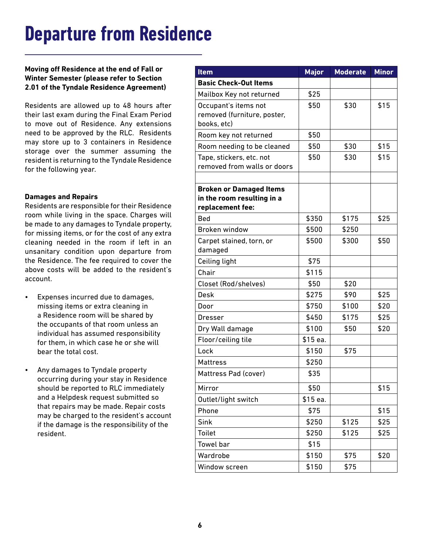## <span id="page-5-0"></span>**Departure from Residence**

**Moving off Residence at the end of Fall or Winter Semester (please refer to Section 2.01 of the Tyndale Residence Agreement)**

Residents are allowed up to 48 hours after their last exam during the Final Exam Period to move out of Residence. Any extensions need to be approved by the RLC. Residents may store up to 3 containers in Residence storage over the summer assuming the resident is returning to the Tyndale Residence for the following year.

#### **Damages and Repairs**

Residents are responsible for their Residence room while living in the space. Charges will be made to any damages to Tyndale property, for missing items, or for the cost of any extra cleaning needed in the room if left in an unsanitary condition upon departure from the Residence. The fee required to cover the above costs will be added to the resident's account.

- Expenses incurred due to damages, missing items or extra cleaning in a Residence room will be shared by the occupants of that room unless an individual has assumed responsibility for them, in which case he or she will bear the total cost.
- Any damages to Tyndale property occurring during your stay in Residence should be reported to RLC immediately and a Helpdesk request submitted so that repairs may be made. Repair costs may be charged to the resident's account if the damage is the responsibility of the resident.

| <b>Item</b>                    | <b>Major</b> | <b>Moderate</b> | <b>Minor</b> |
|--------------------------------|--------------|-----------------|--------------|
| <b>Basic Check-Out Items</b>   |              |                 |              |
| Mailbox Key not returned       | \$25         |                 |              |
| Occupant's items not           | \$50         | \$30            | \$15         |
| removed (furniture, poster,    |              |                 |              |
| books, etc)                    |              |                 |              |
| Room key not returned          | \$50         |                 |              |
| Room needing to be cleaned     | \$50         | \$30            | \$15         |
| Tape, stickers, etc. not       | \$50         | \$30            | \$15         |
| removed from walls or doors    |              |                 |              |
| <b>Broken or Damaged Items</b> |              |                 |              |
| in the room resulting in a     |              |                 |              |
| replacement fee:               |              |                 |              |
| <b>Bed</b>                     | \$350        | \$175           | \$25         |
| Broken window                  | \$500        | \$250           |              |
| Carpet stained, torn, or       | \$500        | \$300           | \$50         |
| damaged                        |              |                 |              |
| Ceiling light                  | \$75         |                 |              |
| Chair                          | \$115        |                 |              |
| Closet (Rod/shelves)           | \$50         | \$20            |              |
| <b>Desk</b>                    | \$275        | \$90            | \$25         |
| Door                           | \$750        | \$100           | \$20         |
| Dresser                        | \$450        | \$175           | \$25         |
| Dry Wall damage                | \$100        | \$50            | \$20         |
| Floor/ceiling tile             | \$15 ea.     |                 |              |
| Lock                           | \$150        | \$75            |              |
| <b>Mattress</b>                | \$250        |                 |              |
| Mattress Pad (cover)           | \$35         |                 |              |
| Mirror                         | \$50         |                 | \$15         |
| Outlet/light switch            | \$15 ea.     |                 |              |
| Phone                          | \$75         |                 | \$15         |
| Sink                           | \$250        | \$125           | \$25         |
| <b>Toilet</b>                  | \$250        | \$125           | \$25         |
| Towel bar                      | \$15         |                 |              |
| Wardrobe                       | \$150        | \$75            | \$20         |
| Window screen                  | \$150        | \$75            |              |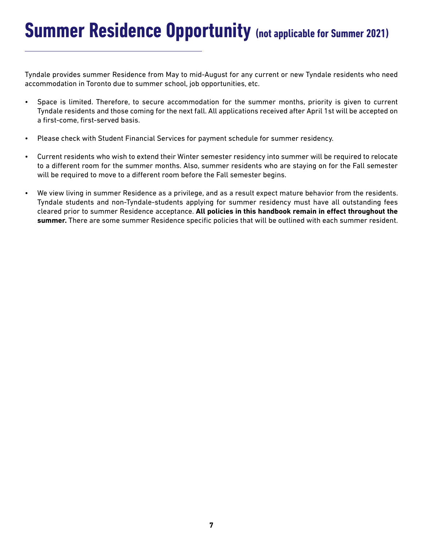<span id="page-6-0"></span>Tyndale provides summer Residence from May to mid-August for any current or new Tyndale residents who need accommodation in Toronto due to summer school, job opportunities, etc.

- Space is limited. Therefore, to secure accommodation for the summer months, priority is given to current Tyndale residents and those coming for the next fall. All applications received after April 1st will be accepted on a first-come, first-served basis.
- Please check with Student Financial Services for payment schedule for summer residency.
- Current residents who wish to extend their Winter semester residency into summer will be required to relocate to a different room for the summer months. Also, summer residents who are staying on for the Fall semester will be required to move to a different room before the Fall semester begins.
- We view living in summer Residence as a privilege, and as a result expect mature behavior from the residents. Tyndale students and non-Tyndale-students applying for summer residency must have all outstanding fees cleared prior to summer Residence acceptance. **All policies in this handbook remain in effect throughout the summer.** There are some summer Residence specific policies that will be outlined with each summer resident.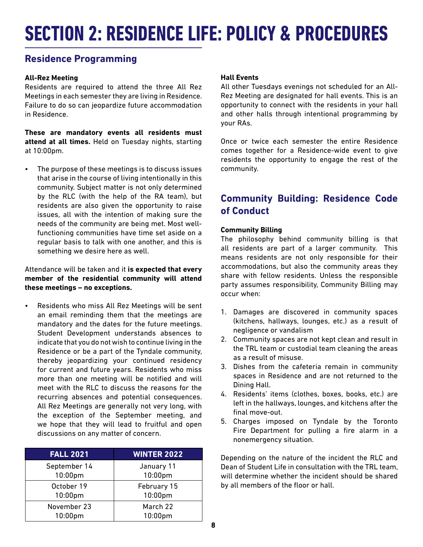## <span id="page-7-0"></span>**SECTION 2: RESIDENCE LIFE: POLICY & PROCEDURES**

## **Residence Programming**

#### **All-Rez Meeting**

Residents are required to attend the three All Rez Meetings in each semester they are living in Residence. Failure to do so can jeopardize future accommodation in Residence.

**These are mandatory events all residents must attend at all times.** Held on Tuesday nights, starting at 10:00pm.

• The purpose of these meetings is to discuss issues that arise in the course of living intentionally in this community. Subject matter is not only determined by the RLC (with the help of the RA team), but residents are also given the opportunity to raise issues, all with the intention of making sure the needs of the community are being met. Most wellfunctioning communities have time set aside on a regular basis to talk with one another, and this is something we desire here as well.

Attendance will be taken and it **is expected that every member of the residential community will attend these meetings – no exceptions.**

• Residents who miss All Rez Meetings will be sent an email reminding them that the meetings are mandatory and the dates for the future meetings. Student Development understands absences to indicate that you do not wish to continue living in the Residence or be a part of the Tyndale community, thereby jeopardizing your continued residency for current and future years. Residents who miss more than one meeting will be notified and will meet with the RLC to discuss the reasons for the recurring absences and potential consequences. All Rez Meetings are generally not very long, with the exception of the September meeting, and we hope that they will lead to fruitful and open discussions on any matter of concern.

| <b>FALL 2021</b> | <b>WINTER 2022</b> |
|------------------|--------------------|
| September 14     | January 11         |
| 10:00pm          | 10:00pm            |
| October 19       | February 15        |
| 10:00pm          | 10:00pm            |
| November 23      | March 22           |
| 10:00pm          | 10:00pm            |

#### **Hall Events**

All other Tuesdays evenings not scheduled for an All-Rez Meeting are designated for hall events. This is an opportunity to connect with the residents in your hall and other halls through intentional programming by your RAs.

Once or twice each semester the entire Residence comes together for a Residence-wide event to give residents the opportunity to engage the rest of the community.

## **Community Building: Residence Code of Conduct**

### **Community Billing**

The philosophy behind community billing is that all residents are part of a larger community. This means residents are not only responsible for their accommodations, but also the community areas they share with fellow residents. Unless the responsible party assumes responsibility, Community Billing may occur when:

- 1. Damages are discovered in community spaces (kitchens, hallways, lounges, etc.) as a result of negligence or vandalism
- 2. Community spaces are not kept clean and result in the TRL team or custodial team cleaning the areas as a result of misuse.
- 3. Dishes from the cafeteria remain in community spaces in Residence and are not returned to the Dining Hall.
- 4. Residents' items (clothes, boxes, books, etc.) are left in the hallways, lounges, and kitchens after the final move-out.
- 5. Charges imposed on Tyndale by the Toronto Fire Department for pulling a fire alarm in a nonemergency situation.

Depending on the nature of the incident the RLC and Dean of Student Life in consultation with the TRL team, will determine whether the incident should be shared by all members of the floor or hall.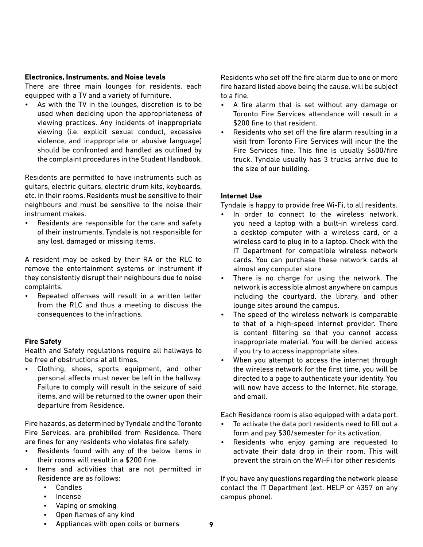#### <span id="page-8-0"></span>**Electronics, Instruments, and Noise levels**

There are three main lounges for residents, each equipped with a TV and a variety of furniture.

As with the TV in the lounges, discretion is to be used when deciding upon the appropriateness of viewing practices. Any incidents of inappropriate viewing (i.e. explicit sexual conduct, excessive violence, and inappropriate or abusive language) should be confronted and handled as outlined by the complaint procedures in the Student Handbook.

Residents are permitted to have instruments such as guitars, electric guitars, electric drum kits, keyboards, etc. in their rooms. Residents must be sensitive to their neighbours and must be sensitive to the noise their instrument makes.

• Residents are responsible for the care and safety of their instruments. Tyndale is not responsible for any lost, damaged or missing items.

A resident may be asked by their RA or the RLC to remove the entertainment systems or instrument if they consistently disrupt their neighbours due to noise complaints.

• Repeated offenses will result in a written letter from the RLC and thus a meeting to discuss the consequences to the infractions.

#### **Fire Safety**

Health and Safety regulations require all hallways to be free of obstructions at all times.

• Clothing, shoes, sports equipment, and other personal affects must never be left in the hallway. Failure to comply will result in the seizure of said items, and will be returned to the owner upon their departure from Residence.

Fire hazards, as determined by Tyndale and the Toronto Fire Services, are prohibited from Residence. There are fines for any residents who violates fire safety.

- Residents found with any of the below items in their rooms will result in a \$200 fine.
- Items and activities that are not permitted in Residence are as follows:
	- Candles
	- Incense
	- Vaping or smoking
	- Open flames of any kind

Residents who set off the fire alarm due to one or more fire hazard listed above being the cause, will be subject to a fine.

- A fire alarm that is set without any damage or Toronto Fire Services attendance will result in a \$200 fine to that resident.
- Residents who set off the fire alarm resulting in a visit from Toronto Fire Services will incur the the Fire Services fine. This fine is usually \$600/fire truck. Tyndale usually has 3 trucks arrive due to the size of our building.

#### **Internet Use**

Tyndale is happy to provide free Wi-Fi, to all residents.

- In order to connect to the wireless network, you need a laptop with a built-in wireless card, a desktop computer with a wireless card, or a wireless card to plug in to a laptop. Check with the IT Department for compatible wireless network cards. You can purchase these network cards at almost any computer store.
- There is no charge for using the network. The network is accessible almost anywhere on campus including the courtyard, the library, and other lounge sites around the campus.
- The speed of the wireless network is comparable to that of a high-speed internet provider. There is content filtering so that you cannot access inappropriate material. You will be denied access if you try to access inappropriate sites.
- When you attempt to access the internet through the wireless network for the first time, you will be directed to a page to authenticate your identity. You will now have access to the Internet, file storage, and email.

Each Residence room is also equipped with a data port.

- To activate the data port residents need to fill out a form and pay \$30/semester for its activation.
- Residents who enjoy gaming are requested to activate their data drop in their room. This will prevent the strain on the Wi-Fi for other residents

If you have any questions regarding the network please contact the IT Department (ext. HELP or 4357 on any campus phone).

• Appliances with open coils or burners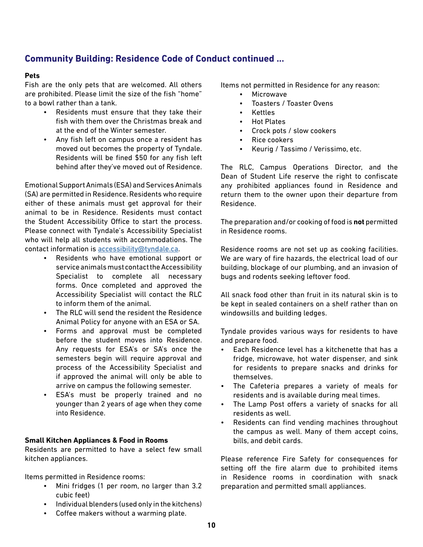## **Community Building: Residence Code of Conduct continued ...**

#### **Pets**

Fish are the only pets that are welcomed. All others are prohibited. Please limit the size of the fish "home" to a bowl rather than a tank.

- Residents must ensure that they take their fish with them over the Christmas break and at the end of the Winter semester.
- Any fish left on campus once a resident has moved out becomes the property of Tyndale. Residents will be fined \$50 for any fish left behind after they've moved out of Residence.

Emotional Support Animals (ESA) and Services Animals (SA) are permitted in Residence. Residents who require either of these animals must get approval for their animal to be in Residence. Residents must contact the Student Accessibility Office to start the process. Please connect with Tyndale's Accessibility Specialist who will help all students with accommodations. The contact information is [accessibility@tyndale.ca](mailto:accessibility@tyndale.ca).

- Residents who have emotional support or service animals must contact the Accessibility Specialist to complete all necessary forms. Once completed and approved the Accessibility Specialist will contact the RLC to inform them of the animal.
- The RLC will send the resident the Residence Animal Policy for anyone with an ESA or SA.
- Forms and approval must be completed before the student moves into Residence. Any requests for ESA's or SA's once the semesters begin will require approval and process of the Accessibility Specialist and if approved the animal will only be able to arrive on campus the following semester.
- ESA's must be properly trained and no younger than 2 years of age when they come into Residence.

#### **Small Kitchen Appliances & Food in Rooms**

Residents are permitted to have a select few small kitchen appliances.

Items permitted in Residence rooms:

- Mini fridges (1 per room, no larger than 3.2 cubic feet)
- Individual blenders (used only in the kitchens)
- Coffee makers without a warming plate.

Items not permitted in Residence for any reason:

- **Microwave**
- Toasters / Toaster Ovens
- Kettles
- Hot Plates
- Crock pots / slow cookers
- Rice cookers
- Keurig / Tassimo / Verissimo, etc.

The RLC, Campus Operations Director, and the Dean of Student Life reserve the right to confiscate any prohibited appliances found in Residence and return them to the owner upon their departure from Residence.

The preparation and/or cooking of food is **not** permitted in Residence rooms.

Residence rooms are not set up as cooking facilities. We are wary of fire hazards, the electrical load of our building, blockage of our plumbing, and an invasion of bugs and rodents seeking leftover food.

All snack food other than fruit in its natural skin is to be kept in sealed containers on a shelf rather than on windowsills and building ledges.

Tyndale provides various ways for residents to have and prepare food.

- Each Residence level has a kitchenette that has a fridge, microwave, hot water dispenser, and sink for residents to prepare snacks and drinks for themselves.
- The Cafeteria prepares a variety of meals for residents and is available during meal times.
- The Lamp Post offers a variety of snacks for all residents as well.
- Residents can find vending machines throughout the campus as well. Many of them accept coins, bills, and debit cards.

Please reference Fire Safety for consequences for setting off the fire alarm due to prohibited items in Residence rooms in coordination with snack preparation and permitted small appliances.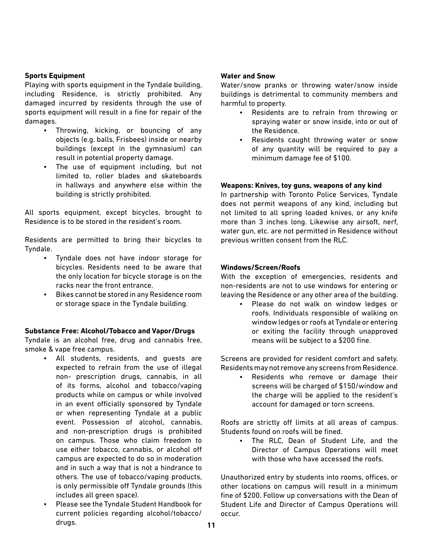#### **Sports Equipment**

Playing with sports equipment in the Tyndale building, including Residence, is strictly prohibited. Any damaged incurred by residents through the use of sports equipment will result in a fine for repair of the damages.

- Throwing, kicking, or bouncing of any objects (e.g. balls, Frisbees) inside or nearby buildings (except in the gymnasium) can result in potential property damage.
- The use of equipment including, but not limited to, roller blades and skateboards in hallways and anywhere else within the building is strictly prohibited.

All sports equipment, except bicycles, brought to Residence is to be stored in the resident's room.

Residents are permitted to bring their bicycles to Tyndale.

- Tyndale does not have indoor storage for bicycles. Residents need to be aware that the only location for bicycle storage is on the racks near the front entrance.
- Bikes cannot be stored in any Residence room or storage space in the Tyndale building.

#### **Substance Free: Alcohol/Tobacco and Vapor/Drugs**

Tyndale is an alcohol free, drug and cannabis free, smoke & vape free campus.

- All students, residents, and guests are expected to refrain from the use of illegal non- prescription drugs, cannabis, in all of its forms, alcohol and tobacco/vaping products while on campus or while involved in an event officially sponsored by Tyndale or when representing Tyndale at a public event. Possession of alcohol, cannabis, and non-prescription drugs is prohibited on campus. Those who claim freedom to use either tobacco, cannabis, or alcohol off campus are expected to do so in moderation and in such a way that is not a hindrance to others. The use of tobacco/vaping products, is only permissible off Tyndale grounds (this includes all green space).
- Please see the Tyndale Student Handbook for current policies regarding alcohol/tobacco/ drugs.

#### **Water and Snow**

Water/snow pranks or throwing water/snow inside buildings is detrimental to community members and harmful to property.

- Residents are to refrain from throwing or spraying water or snow inside, into or out of the Residence.
- Residents caught throwing water or snow of any quantity will be required to pay a minimum damage fee of \$100.

#### **Weapons: Knives, toy guns, weapons of any kind**

In partnership with Toronto Police Services, Tyndale does not permit weapons of any kind, including but not limited to all spring loaded knives, or any knife more than 3 inches long. Likewise any airsoft, nerf, water gun, etc. are not permitted in Residence without previous written consent from the RLC.

#### **Windows/Screen/Roofs**

With the exception of emergencies, residents and non-residents are not to use windows for entering or leaving the Residence or any other area of the building.

Please do not walk on window ledges or roofs. Individuals responsible of walking on window ledges or roofs at Tyndale or entering or exiting the facility through unapproved means will be subject to a \$200 fine.

Screens are provided for resident comfort and safety. Residents may not remove any screens from Residence.

Residents who remove or damage their screens will be charged of \$150/window and the charge will be applied to the resident's account for damaged or torn screens.

Roofs are strictly off limits at all areas of campus. Students found on roofs will be fined.

> The RLC, Dean of Student Life, and the Director of Campus Operations will meet with those who have accessed the roofs.

Unauthorized entry by students into rooms, offices, or other locations on campus will result in a minimum fine of \$200. Follow up conversations with the Dean of Student Life and Director of Campus Operations will occur.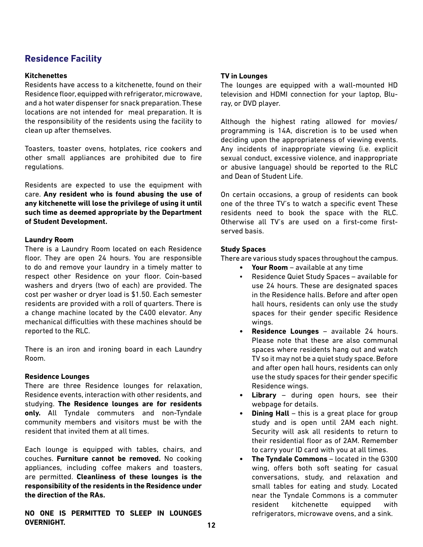## <span id="page-11-0"></span>**Residence Facility**

#### **Kitchenettes**

Residents have access to a kitchenette, found on their Residence floor, equipped with refrigerator, microwave, and a hot water dispenser for snack preparation. These locations are not intended for meal preparation. It is the responsibility of the residents using the facility to clean up after themselves.

Toasters, toaster ovens, hotplates, rice cookers and other small appliances are prohibited due to fire regulations.

Residents are expected to use the equipment with care. **Any resident who is found abusing the use of any kitchenette will lose the privilege of using it until such time as deemed appropriate by the Department of Student Development.**

#### **Laundry Room**

There is a Laundry Room located on each Residence floor. They are open 24 hours. You are responsible to do and remove your laundry in a timely matter to respect other Residence on your floor. Coin-based washers and dryers (two of each) are provided. The cost per washer or dryer load is \$1.50. Each semester residents are provided with a roll of quarters. There is a change machine located by the C400 elevator. Any mechanical difficulties with these machines should be reported to the RLC.

There is an iron and ironing board in each Laundry Room.

#### **Residence Lounges**

There are three Residence lounges for relaxation, Residence events, interaction with other residents, and studying. **The Residence lounges are for residents only.** All Tyndale commuters and non-Tyndale community members and visitors must be with the resident that invited them at all times.

Each lounge is equipped with tables, chairs, and couches. **Furniture cannot be removed.** No cooking appliances, including coffee makers and toasters, are permitted. **Cleanliness of these lounges is the responsibility of the residents in the Residence under the direction of the RAs.**

**NO ONE IS PERMITTED TO SLEEP IN LOUNGES OVERNIGHT.**

#### **TV in Lounges**

The lounges are equipped with a wall-mounted HD television and HDMI connection for your laptop, Bluray, or DVD player.

Although the highest rating allowed for movies/ programming is 14A, discretion is to be used when deciding upon the appropriateness of viewing events. Any incidents of inappropriate viewing (i.e. explicit sexual conduct, excessive violence, and inappropriate or abusive language) should be reported to the RLC and Dean of Student Life.

On certain occasions, a group of residents can book one of the three TV's to watch a specific event These residents need to book the space with the RLC. Otherwise all TV's are used on a first-come firstserved basis.

#### **Study Spaces**

There are various study spaces throughout the campus.

- **• Your Room** available at any time
- Residence Quiet Study Spaces available for use 24 hours. These are designated spaces in the Residence halls. Before and after open hall hours, residents can only use the study spaces for their gender specific Residence wings.
- **• Residence Lounges** available 24 hours. Please note that these are also communal spaces where residents hang out and watch TV so it may not be a quiet study space. Before and after open hall hours, residents can only use the study spaces for their gender specific Residence wings.
- **• Library** during open hours, see their webpage for details.
- **• Dining Hall** this is a great place for group study and is open until 2AM each night. Security will ask all residents to return to their residential floor as of 2AM. Remember to carry your ID card with you at all times.
- **• The Tyndale Commons**  located in the G300 wing, offers both soft seating for casual conversations, study, and relaxation and small tables for eating and study. Located near the Tyndale Commons is a commuter resident kitchenette equipped with refrigerators, microwave ovens, and a sink.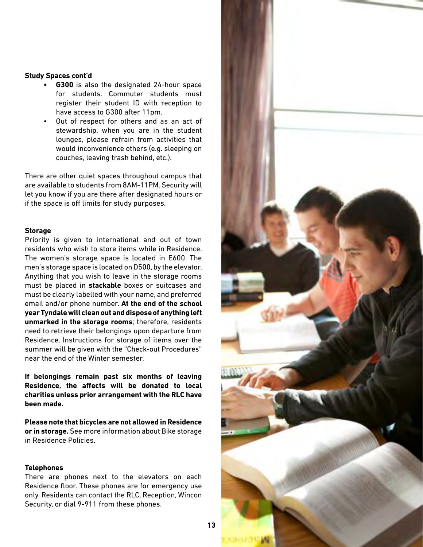#### <span id="page-12-0"></span>**Study Spaces cont'd**

- **• G300** is also the designated 24-hour space for students. Commuter students must register their student ID with reception to have access to G300 after 11pm.
- Out of respect for others and as an act of stewardship, when you are in the student lounges, please refrain from activities that would inconvenience others (e.g. sleeping on couches, leaving trash behind, etc.).

There are other quiet spaces throughout campus that are available to students from 8AM-11PM. Security will let you know if you are there after designated hours or if the space is off limits for study purposes.

#### **Storage**

Priority is given to international and out of town residents who wish to store items while in Residence. The women's storage space is located in E600. The men's storage space is located on D500, by the elevator. Anything that you wish to leave in the storage rooms must be placed in **stackable** boxes or suitcases and must be clearly labelled with your name, and preferred email and/or phone number. **At the end of the school year Tyndale will clean out and dispose of anything left unmarked in the storage rooms**; therefore, residents need to retrieve their belongings upon departure from Residence. Instructions for storage of items over the summer will be given with the "Check-out Procedures" near the end of the Winter semester.

**If belongings remain past six months of leaving Residence, the affects will be donated to local charities unless prior arrangement with the RLC have been made.** 

**Please note that bicycles are not allowed in Residence or in storage.** See more information about Bike storage in Residence Policies.

#### **Telephones**

There are phones next to the elevators on each Residence floor. These phones are for emergency use only. Residents can contact the RLC, Reception, Wincon Security, or dial 9-911 from these phones.

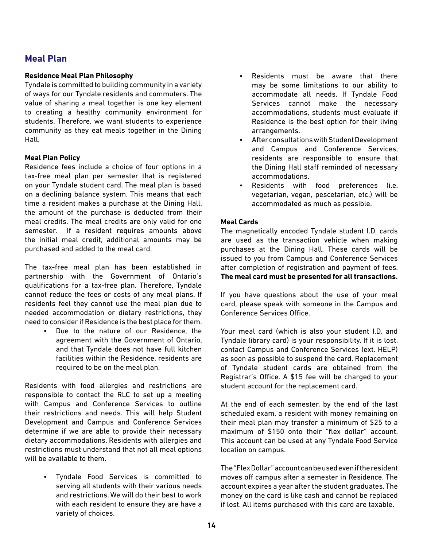## <span id="page-13-0"></span>**Meal Plan**

#### **Residence Meal Plan Philosophy**

Tyndale is committed to building community in a variety of ways for our Tyndale residents and commuters. The value of sharing a meal together is one key element to creating a healthy community environment for students. Therefore, we want students to experience community as they eat meals together in the Dining Hall.

#### **Meal Plan Policy**

Residence fees include a choice of four options in a tax-free meal plan per semester that is registered on your Tyndale student card. The meal plan is based on a declining balance system. This means that each time a resident makes a purchase at the Dining Hall, the amount of the purchase is deducted from their meal credits. The meal credits are only valid for one semester. If a resident requires amounts above the initial meal credit, additional amounts may be purchased and added to the meal card.

The tax-free meal plan has been established in partnership with the Government of Ontario's qualifications for a tax-free plan. Therefore, Tyndale cannot reduce the fees or costs of any meal plans. If residents feel they cannot use the meal plan due to needed accommodation or dietary restrictions, they need to consider if Residence is the best place for them.

> Due to the nature of our Residence, the agreement with the Government of Ontario, and that Tyndale does not have full kitchen facilities within the Residence, residents are required to be on the meal plan.

Residents with food allergies and restrictions are responsible to contact the RLC to set up a meeting with Campus and Conference Services to outline their restrictions and needs. This will help Student Development and Campus and Conference Services determine if we are able to provide their necessary dietary accommodations. Residents with allergies and restrictions must understand that not all meal options will be available to them.

> • Tyndale Food Services is committed to serving all students with their various needs and restrictions. We will do their best to work with each resident to ensure they are have a variety of choices.

- Residents must be aware that there may be some limitations to our ability to accommodate all needs. If Tyndale Food Services cannot make the necessary accommodations, students must evaluate if Residence is the best option for their living arrangements.
- After consultations with Student Development and Campus and Conference Services, residents are responsible to ensure that the Dining Hall staff reminded of necessary accommodations.
- Residents with food preferences (i.e. vegetarian, vegan, pescetarian, etc.) will be accommodated as much as possible.

#### **Meal Cards**

The magnetically encoded Tyndale student I.D. cards are used as the transaction vehicle when making purchases at the Dining Hall. These cards will be issued to you from Campus and Conference Services after completion of registration and payment of fees. **The meal card must be presented for all transactions.**

If you have questions about the use of your meal card, please speak with someone in the Campus and Conference Services Office.

Your meal card (which is also your student I.D. and Tyndale library card) is your responsibility. If it is lost, contact Campus and Conference Services (ext. HELP) as soon as possible to suspend the card. Replacement of Tyndale student cards are obtained from the Registrar's Office. A \$15 fee will be charged to your student account for the replacement card.

At the end of each semester, by the end of the last scheduled exam, a resident with money remaining on their meal plan may transfer a minimum of \$25 to a maximum of \$150 onto their "flex dollar" account. This account can be used at any Tyndale Food Service location on campus.

The "Flex Dollar" account can be used even if the resident moves off campus after a semester in Residence. The account expires a year after the student graduates. The money on the card is like cash and cannot be replaced if lost. All items purchased with this card are taxable.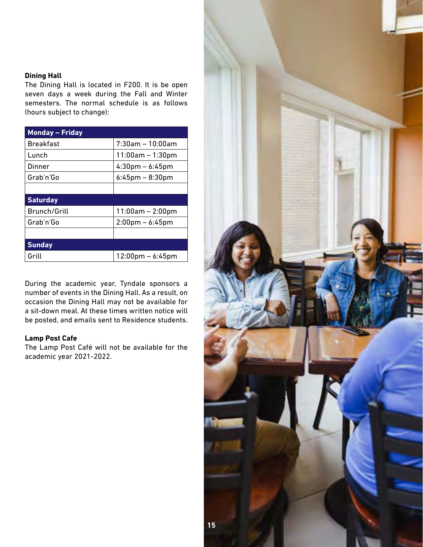#### <span id="page-14-0"></span>**Dining Hall**

The Dining Hall is located in F200. It is be open seven days a week during the Fall and Winter semesters. The normal schedule is as follows (hours subject to change):

| <b>Monday - Friday</b> |                                    |
|------------------------|------------------------------------|
| <b>Breakfast</b>       | $7:30$ am - 10:00am                |
| Lunch                  | $11:00am - 1:30pm$                 |
| Dinner                 | $4:30 \text{pm} - 6:45 \text{pm}$  |
| Grab'n'Go              | $6:45$ pm – $8:30$ pm              |
|                        |                                    |
| <b>Saturday</b>        |                                    |
| Brunch/Grill           | $11:00am - 2:00pm$                 |
| Grab'n'Go              | $2:00$ pm – 6:45pm                 |
|                        |                                    |
| <b>Sunday</b>          |                                    |
| Grill                  | $12:00 \text{pm} - 6:45 \text{pm}$ |

During the academic year, Tyndale sponsors a number of events in the Dining Hall. As a result, on occasion the Dining Hall may not be available for a sit-down meal. At these times written notice will be posted, and emails sent to Residence students.

#### **Lamp Post Cafe**

The Lamp Post Café will not be available for the academic year 2021-2022.

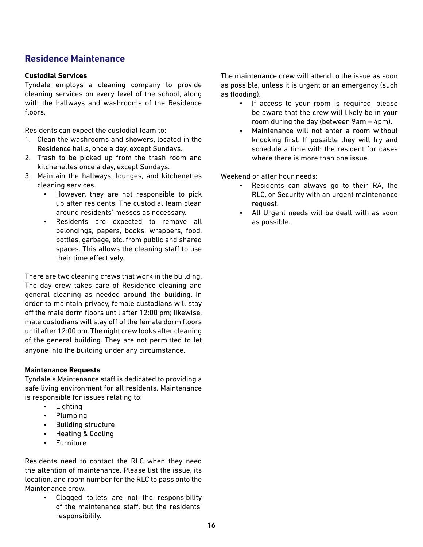## <span id="page-15-0"></span>**Residence Maintenance**

#### **Custodial Services**

Tyndale employs a cleaning company to provide cleaning services on every level of the school, along with the hallways and washrooms of the Residence floors.

Residents can expect the custodial team to:

- 1. Clean the washrooms and showers, located in the Residence halls, once a day, except Sundays.
- 2. Trash to be picked up from the trash room and kitchenettes once a day, except Sundays.
- 3. Maintain the hallways, lounges, and kitchenettes cleaning services.
	- However, they are not responsible to pick up after residents. The custodial team clean around residents' messes as necessary.
	- Residents are expected to remove all belongings, papers, books, wrappers, food, bottles, garbage, etc. from public and shared spaces. This allows the cleaning staff to use their time effectively.

There are two cleaning crews that work in the building. The day crew takes care of Residence cleaning and general cleaning as needed around the building. In order to maintain privacy, female custodians will stay off the male dorm floors until after 12:00 pm; likewise, male custodians will stay off of the female dorm floors until after 12:00 pm. The night crew looks after cleaning of the general building. They are not permitted to let anyone into the building under any circumstance.

#### **Maintenance Requests**

Tyndale's Maintenance staff is dedicated to providing a safe living environment for all residents. Maintenance is responsible for issues relating to:

- Lighting
- Plumbing
- Building structure
- Heating & Cooling
- **Furniture**

Residents need to contact the RLC when they need the attention of maintenance. Please list the issue, its location, and room number for the RLC to pass onto the Maintenance crew.

> • Clogged toilets are not the responsibility of the maintenance staff, but the residents' responsibility.

The maintenance crew will attend to the issue as soon as possible, unless it is urgent or an emergency (such as flooding).

- If access to your room is required, please be aware that the crew will likely be in your room during the day (between 9am – 4pm).
- Maintenance will not enter a room without knocking first. If possible they will try and schedule a time with the resident for cases where there is more than one issue.

Weekend or after hour needs:

- Residents can always go to their RA, the RLC, or Security with an urgent maintenance request.
- All Urgent needs will be dealt with as soon as possible.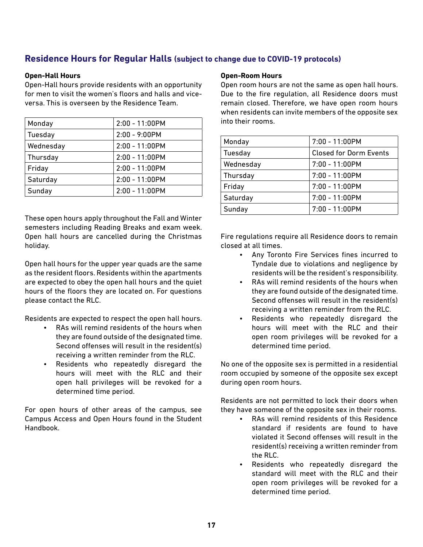## <span id="page-16-0"></span>**Residence Hours for Regular Halls (subject to change due to COVID-19 protocols)**

#### **Open-Hall Hours**

Open-Hall hours provide residents with an opportunity for men to visit the women's floors and halls and viceversa. This is overseen by the Residence Team.

| Monday    | 2:00 - 11:00PM   |
|-----------|------------------|
| Tuesday   | $2:00 - 9:00$ PM |
| Wednesday | 2:00 - 11:00PM   |
| Thursday  | $2:00 - 11:00PM$ |
| Friday    | $2:00 - 11:00PM$ |
| Saturday  | 2:00 - 11:00PM   |
| Sunday    | $2:00 - 11:00PM$ |

These open hours apply throughout the Fall and Winter semesters including Reading Breaks and exam week. Open hall hours are cancelled during the Christmas holiday.

Open hall hours for the upper year quads are the same as the resident floors. Residents within the apartments are expected to obey the open hall hours and the quiet hours of the floors they are located on. For questions please contact the RLC.

Residents are expected to respect the open hall hours.

- RAs will remind residents of the hours when they are found outside of the designated time. Second offenses will result in the resident(s) receiving a written reminder from the RLC.
- Residents who repeatedly disregard the hours will meet with the RLC and their open hall privileges will be revoked for a determined time period.

For open hours of other areas of the campus, see Campus Access and Open Hours found in the Student Handbook.

#### **Open-Room Hours**

Open room hours are not the same as open hall hours. Due to the fire regulation, all Residence doors must remain closed. Therefore, we have open room hours when residents can invite members of the opposite sex into their rooms.

| Monday    | 7:00 - 11:00PM                |
|-----------|-------------------------------|
| Tuesday   | <b>Closed for Dorm Events</b> |
| Wednesday | 7:00 - 11:00PM                |
| Thursday  | 7:00 - 11:00PM                |
| Friday    | $7:00 - 11:00$ PM             |
| Saturday  | 7:00 - 11:00PM                |
| Sunday    | $7:00 - 11:00$ PM             |

Fire regulations require all Residence doors to remain closed at all times.

- Any Toronto Fire Services fines incurred to Tyndale due to violations and negligence by residents will be the resident's responsibility.
- RAs will remind residents of the hours when they are found outside of the designated time. Second offenses will result in the resident(s) receiving a written reminder from the RLC.
- Residents who repeatedly disregard the hours will meet with the RLC and their open room privileges will be revoked for a determined time period.

No one of the opposite sex is permitted in a residential room occupied by someone of the opposite sex except during open room hours.

Residents are not permitted to lock their doors when they have someone of the opposite sex in their rooms.

- RAs will remind residents of this Residence standard if residents are found to have violated it Second offenses will result in the resident(s) receiving a written reminder from the RLC.
- Residents who repeatedly disregard the standard will meet with the RLC and their open room privileges will be revoked for a determined time period.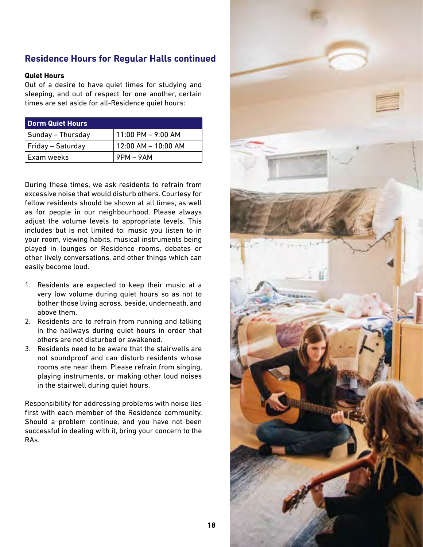## <span id="page-17-0"></span>**Residence Hours for Regular Halls continued**

#### **Quiet Hours**

Out of a desire to have quiet times for studying and sleeping, and out of respect for one another, certain times are set aside for all-Residence quiet hours:

| <b>Dorm Quiet Hours</b> |                        |
|-------------------------|------------------------|
| Sunday - Thursday       | $11:00$ PM $-$ 9:00 AM |
| Friday - Saturday       | 12:00 AM - 10:00 AM    |
| Exam weeks              | $9$ PM – $9$ AM        |

During these times, we ask residents to refrain from excessive noise that would disturb others. Courtesy for fellow residents should be shown at all times, as well as for people in our neighbourhood. Please always adjust the volume levels to appropriate levels. This includes but is not limited to: music you listen to in your room, viewing habits, musical instruments being played in lounges or Residence rooms, debates or other lively conversations, and other things which can easily become loud.

- 1. Residents are expected to keep their music at a very low volume during quiet hours so as not to bother those living across, beside, underneath, and above them.
- 2. Residents are to refrain from running and talking in the hallways during quiet hours in order that others are not disturbed or awakened.
- 3. Residents need to be aware that the stairwells are not soundproof and can disturb residents whose rooms are near them. Please refrain from singing, playing instruments, or making other loud noises in the stairwell during quiet hours.

Responsibility for addressing problems with noise lies first with each member of the Residence community. Should a problem continue, and you have not been successful in dealing with it, bring your concern to the RAs.

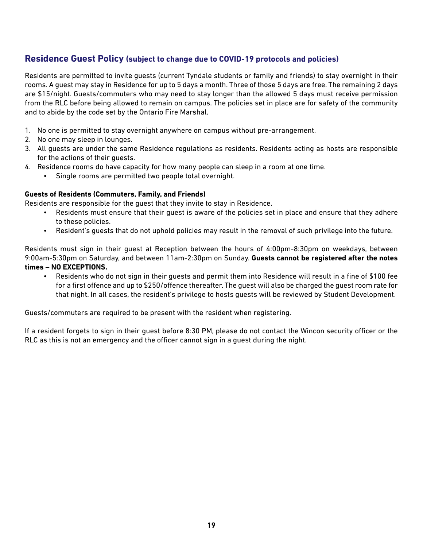### <span id="page-18-0"></span>**Residence Guest Policy (subject to change due to COVID-19 protocols and policies)**

Residents are permitted to invite guests (current Tyndale students or family and friends) to stay overnight in their rooms. A guest may stay in Residence for up to 5 days a month. Three of those 5 days are free. The remaining 2 days are \$15/night. Guests/commuters who may need to stay longer than the allowed 5 days must receive permission from the RLC before being allowed to remain on campus. The policies set in place are for safety of the community and to abide by the code set by the Ontario Fire Marshal.

- 1. No one is permitted to stay overnight anywhere on campus without pre-arrangement.
- 2. No one may sleep in lounges.
- 3. All guests are under the same Residence regulations as residents. Residents acting as hosts are responsible for the actions of their guests.
- 4. Residence rooms do have capacity for how many people can sleep in a room at one time.
	- Single rooms are permitted two people total overnight.

#### **Guests of Residents (Commuters, Family, and Friends)**

Residents are responsible for the guest that they invite to stay in Residence.

- Residents must ensure that their guest is aware of the policies set in place and ensure that they adhere to these policies.
- Resident's guests that do not uphold policies may result in the removal of such privilege into the future.

Residents must sign in their guest at Reception between the hours of 4:00pm-8:30pm on weekdays, between 9:00am-5:30pm on Saturday, and between 11am-2:30pm on Sunday. **Guests cannot be registered after the notes times – NO EXCEPTIONS.** 

• Residents who do not sign in their guests and permit them into Residence will result in a fine of \$100 fee for a first offence and up to \$250/offence thereafter. The guest will also be charged the guest room rate for that night. In all cases, the resident's privilege to hosts guests will be reviewed by Student Development.

Guests/commuters are required to be present with the resident when registering.

If a resident forgets to sign in their guest before 8:30 PM, please do not contact the Wincon security officer or the RLC as this is not an emergency and the officer cannot sign in a guest during the night.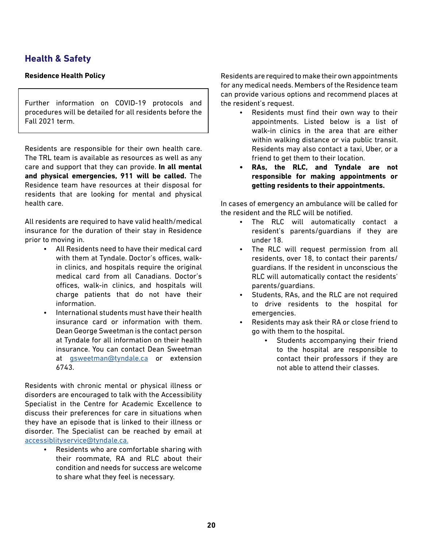## <span id="page-19-0"></span>**Health & Safety**

### **Residence Health Policy**

Further information on COVID-19 protocols and procedures will be detailed for all residents before the Fall 2021 term.

Residents are responsible for their own health care. The TRL team is available as resources as well as any care and support that they can provide. **In all mental and physical emergencies, 911 will be called.** The Residence team have resources at their disposal for residents that are looking for mental and physical health care.

All residents are required to have valid health/medical insurance for the duration of their stay in Residence prior to moving in.

- All Residents need to have their medical card with them at Tyndale. Doctor's offices, walkin clinics, and hospitals require the original medical card from all Canadians. Doctor's offices, walk-in clinics, and hospitals will charge patients that do not have their information.
- International students must have their health insurance card or information with them. Dean George Sweetman is the contact person at Tyndale for all information on their health insurance. You can contact Dean Sweetman at [gsweetman@tyndale.ca](mailto:gsweetman@tyndale.ca) or extension 6743.

Residents with chronic mental or physical illness or disorders are encouraged to talk with the Accessibility Specialist in the Centre for Academic Excellence to discuss their preferences for care in situations when they have an episode that is linked to their illness or disorder. The Specialist can be reached by email at [accessiblityservice@tyndale.ca.](mailto:accessiblityservice@tyndale.ca. )

• Residents who are comfortable sharing with their roommate, RA and RLC about their condition and needs for success are welcome to share what they feel is necessary.

Residents are required to make their own appointments for any medical needs. Members of the Residence team can provide various options and recommend places at the resident's request.

- Residents must find their own way to their appointments. Listed below is a list of walk-in clinics in the area that are either within walking distance or via public transit. Residents may also contact a taxi, Uber, or a friend to get them to their location.
- **• RAs, the RLC, and Tyndale are not responsible for making appointments or getting residents to their appointments.**

In cases of emergency an ambulance will be called for the resident and the RLC will be notified.

- The RLC will automatically contact a resident's parents/guardians if they are under 18.
- The RLC will request permission from all residents, over 18, to contact their parents/ guardians. If the resident in unconscious the RLC will automatically contact the residents' parents/guardians.
- Students, RAs, and the RLC are not required to drive residents to the hospital for emergencies.
- Residents may ask their RA or close friend to go with them to the hospital.
	- Students accompanying their friend to the hospital are responsible to contact their professors if they are not able to attend their classes.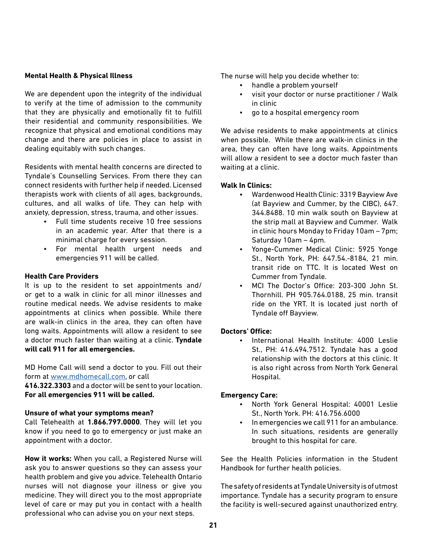#### <span id="page-20-0"></span>**Mental Health & Physical Illness**

We are dependent upon the integrity of the individual to verify at the time of admission to the community that they are physically and emotionally fit to fulfill their residential and community responsibilities. We recognize that physical and emotional conditions may change and there are policies in place to assist in dealing equitably with such changes.

Residents with mental health concerns are directed to Tyndale's Counselling Services. From there they can connect residents with further help if needed. Licensed therapists work with clients of all ages, backgrounds, cultures, and all walks of life. They can help with anxiety, depression, stress, trauma, and other issues.

- Full time students receive 10 free sessions in an academic year. After that there is a minimal charge for every session.
- For mental health urgent needs and emergencies 911 will be called.

#### **Health Care Providers**

It is up to the resident to set appointments and/ or get to a walk in clinic for all minor illnesses and routine medical needs. We advise residents to make appointments at clinics when possible. While there are walk-in clinics in the area, they can often have long waits. Appointments will allow a resident to see a doctor much faster than waiting at a clinic. **Tyndale will call 911 for all emergencies.**

MD Home Call will send a doctor to you. Fill out their form at [www.mdhomecall.com](http://www.mdhomecall.com), or call

**416.322.3303** and a doctor will be sent to your location. **For all emergencies 911 will be called.**

#### **Unsure of what your symptoms mean?**

Call Telehealth at **1.866.797.0000**. They will let you know if you need to go to emergency or just make an appointment with a doctor.

**How it works:** When you call, a Registered Nurse will ask you to answer questions so they can assess your health problem and give you advice. Telehealth Ontario nurses will not diagnose your illness or give you medicine. They will direct you to the most appropriate level of care or may put you in contact with a health professional who can advise you on your next steps.

The nurse will help you decide whether to:

- handle a problem yourself
- visit your doctor or nurse practitioner / Walk in clinic
- go to a hospital emergency room

We advise residents to make appointments at clinics when possible. While there are walk-in clinics in the area, they can often have long waits. Appointments will allow a resident to see a doctor much faster than waiting at a clinic.

#### **Walk In Clinics:**

- Wardenwood Health Clinic: 3319 Bayview Ave (at Bayview and Cummer, by the CIBC), 647. 344.8488. 10 min walk south on Bayview at the strip mall at Bayview and Cummer. Walk in clinic hours Monday to Friday 10am – 7pm; Saturday 10am – 4pm.
- Yonge-Cummer Medical Clinic: 5925 Yonge St., North York, PH: 647.54.-8184, 21 min. transit ride on TTC. It is located West on Cummer from Tyndale.
- MCI The Doctor's Office: 203-300 John St. Thornhill. PH 905.764.0188, 25 min. transit ride on the YRT. It is located just north of Tyndale off Bayview.

#### **Doctors' Office:**

International Health Institute: 4000 Leslie St., PH: 416.494.7512. Tyndale has a good relationship with the doctors at this clinic. It is also right across from North York General Hospital.

#### **Emergency Care:**

- North York General Hospital: 40001 Leslie St., North York. PH: 416.756.6000
- In emergencies we call 911 for an ambulance. In such situations, residents are generally brought to this hospital for care.

See the Health Policies information in the Student Handbook for further health policies.

The safety of residents at Tyndale University is of utmost importance. Tyndale has a security program to ensure the facility is well-secured against unauthorized entry.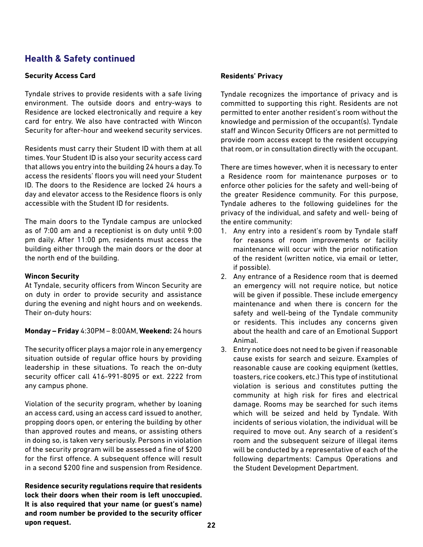## <span id="page-21-0"></span>**Health & Safety continued**

#### **Security Access Card**

Tyndale strives to provide residents with a safe living environment. The outside doors and entry-ways to Residence are locked electronically and require a key card for entry. We also have contracted with Wincon Security for after-hour and weekend security services.

Residents must carry their Student ID with them at all times. Your Student ID is also your security access card that allows you entry into the building 24 hours a day. To access the residents' floors you will need your Student ID. The doors to the Residence are locked 24 hours a day and elevator access to the Residence floors is only accessible with the Student ID for residents.

The main doors to the Tyndale campus are unlocked as of 7:00 am and a receptionist is on duty until 9:00 pm daily. After 11:00 pm, residents must access the building either through the main doors or the door at the north end of the building.

#### **Wincon Security**

At Tyndale, security officers from Wincon Security are on duty in order to provide security and assistance during the evening and night hours and on weekends. Their on-duty hours:

**Monday – Friday** 4:30PM – 8:00AM, **Weekend:** 24 hours

The security officer plays a major role in any emergency situation outside of regular office hours by providing leadership in these situations. To reach the on-duty security officer call 416-991-8095 or ext. 2222 from any campus phone.

Violation of the security program, whether by loaning an access card, using an access card issued to another, propping doors open, or entering the building by other than approved routes and means, or assisting others in doing so, is taken very seriously. Persons in violation of the security program will be assessed a fine of \$200 for the first offence. A subsequent offence will result in a second \$200 fine and suspension from Residence.

**Residence security regulations require that residents lock their doors when their room is left unoccupied. It is also required that your name (or guest's name) and room number be provided to the security officer upon request.**

#### **Residents' Privacy**

Tyndale recognizes the importance of privacy and is committed to supporting this right. Residents are not permitted to enter another resident's room without the knowledge and permission of the occupant(s). Tyndale staff and Wincon Security Officers are not permitted to provide room access except to the resident occupying that room, or in consultation directly with the occupant.

There are times however, when it is necessary to enter a Residence room for maintenance purposes or to enforce other policies for the safety and well-being of the greater Residence community. For this purpose, Tyndale adheres to the following guidelines for the privacy of the individual, and safety and well- being of the entire community:

- 1. Any entry into a resident's room by Tyndale staff for reasons of room improvements or facility maintenance will occur with the prior notification of the resident (written notice, via email or letter, if possible).
- 2. Any entrance of a Residence room that is deemed an emergency will not require notice, but notice will be given if possible. These include emergency maintenance and when there is concern for the safety and well-being of the Tyndale community or residents. This includes any concerns given about the health and care of an Emotional Support Animal.
- 3. Entry notice does not need to be given if reasonable cause exists for search and seizure. Examples of reasonable cause are cooking equipment (kettles, toasters, rice cookers, etc.) This type of institutional violation is serious and constitutes putting the community at high risk for fires and electrical damage. Rooms may be searched for such items which will be seized and held by Tyndale. With incidents of serious violation, the individual will be required to move out. Any search of a resident's room and the subsequent seizure of illegal items will be conducted by a representative of each of the following departments: Campus Operations and the Student Development Department.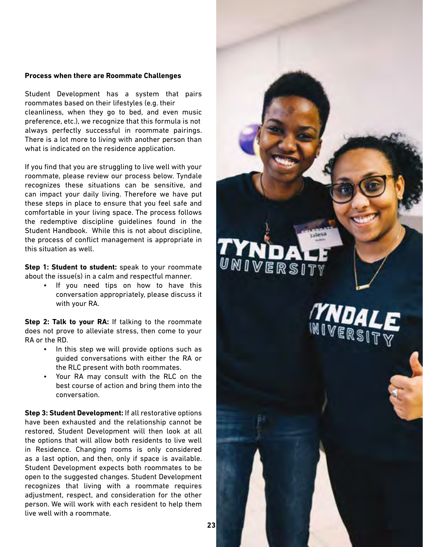#### <span id="page-22-0"></span>**Process when there are Roommate Challenges**

Student Development has a system that pairs roommates based on their lifestyles (e.g. their cleanliness, when they go to bed, and even music preference, etc.), we recognize that this formula is not always perfectly successful in roommate pairings. There is a lot more to living with another person than what is indicated on the residence application.

If you find that you are struggling to live well with your roommate, please review our process below. Tyndale recognizes these situations can be sensitive, and can impact your daily living. Therefore we have put these steps in place to ensure that you feel safe and comfortable in your living space. The process follows the redemptive discipline guidelines found in the Student Handbook. While this is not about discipline, the process of conflict management is appropriate in this situation as well.

**Step 1: Student to student:** speak to your roommate about the issue(s) in a calm and respectful manner.

> If you need tips on how to have this conversation appropriately, please discuss it with your RA.

**Step 2: Talk to your RA:** If talking to the roommate does not prove to alleviate stress, then come to your RA or the RD.

- In this step we will provide options such as guided conversations with either the RA or the RLC present with both roommates.
- Your RA may consult with the RLC on the best course of action and bring them into the conversation.

**Step 3: Student Development:** If all restorative options have been exhausted and the relationship cannot be restored, Student Development will then look at all the options that will allow both residents to live well in Residence. Changing rooms is only considered as a last option, and then, only if space is available. Student Development expects both roommates to be open to the suggested changes. Student Development recognizes that living with a roommate requires adjustment, respect, and consideration for the other person. We will work with each resident to help them live well with a roommate.

UNIVERSI **YND** IVERSITY